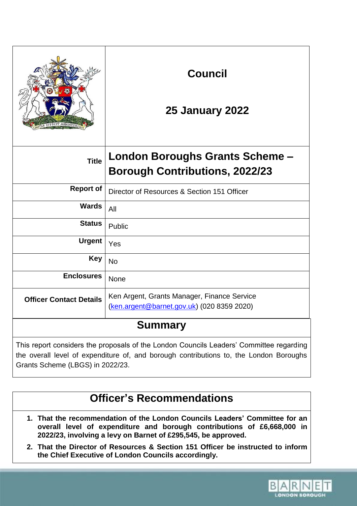|                                                                                                                                                                                 | <b>Council</b><br><b>25 January 2022</b>                                                  |  |
|---------------------------------------------------------------------------------------------------------------------------------------------------------------------------------|-------------------------------------------------------------------------------------------|--|
| <b>Title</b>                                                                                                                                                                    | London Boroughs Grants Scheme -<br><b>Borough Contributions, 2022/23</b>                  |  |
| <b>Report of</b>                                                                                                                                                                | Director of Resources & Section 151 Officer                                               |  |
| <b>Wards</b>                                                                                                                                                                    | All                                                                                       |  |
| <b>Status</b>                                                                                                                                                                   | Public                                                                                    |  |
| <b>Urgent</b>                                                                                                                                                                   | Yes                                                                                       |  |
| <b>Key</b>                                                                                                                                                                      | <b>No</b>                                                                                 |  |
| <b>Enclosures</b>                                                                                                                                                               | None                                                                                      |  |
| <b>Officer Contact Details</b>                                                                                                                                                  | Ken Argent, Grants Manager, Finance Service<br>(ken.argent@barnet.gov.uk) (020 8359 2020) |  |
| <b>Summary</b>                                                                                                                                                                  |                                                                                           |  |
| This report considers the proposals of the London Councils Leaders' Committee regarding<br>the overall level of expenditure of and bereugh contributions to the London Persuabe |                                                                                           |  |

the overall level of expenditure of, and borough contributions to, the London Boroughs Grants Scheme (LBGS) in 2022/23.

# **Officer's Recommendations**

- **1. That the recommendation of the London Councils Leaders' Committee for an overall level of expenditure and borough contributions of £6,668,000 in 2022/23, involving a levy on Barnet of £295,545, be approved.**
- **2. That the Director of Resources & Section 151 Officer be instructed to inform the Chief Executive of London Councils accordingly.**

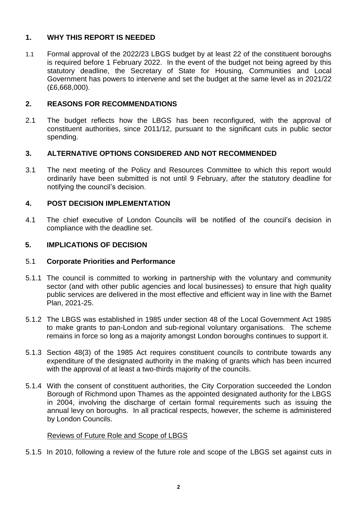# **1. WHY THIS REPORT IS NEEDED**

1.1 Formal approval of the 2022/23 LBGS budget by at least 22 of the constituent boroughs is required before 1 February 2022. In the event of the budget not being agreed by this statutory deadline, the Secretary of State for Housing, Communities and Local Government has powers to intervene and set the budget at the same level as in 2021/22 (£6,668,000).

# **2. REASONS FOR RECOMMENDATIONS**

2.1 The budget reflects how the LBGS has been reconfigured, with the approval of constituent authorities, since 2011/12, pursuant to the significant cuts in public sector spending.

# **3. ALTERNATIVE OPTIONS CONSIDERED AND NOT RECOMMENDED**

3.1 The next meeting of the Policy and Resources Committee to which this report would ordinarily have been submitted is not until 9 February, after the statutory deadline for notifying the council's decision.

# **4. POST DECISION IMPLEMENTATION**

4.1 The chief executive of London Councils will be notified of the council's decision in compliance with the deadline set.

# **5. IMPLICATIONS OF DECISION**

#### 5.1 **Corporate Priorities and Performance**

- 5.1.1 The council is committed to working in partnership with the voluntary and community sector (and with other public agencies and local businesses) to ensure that high quality public services are delivered in the most effective and efficient way in line with the Barnet Plan, 2021-25.
- 5.1.2 The LBGS was established in 1985 under section 48 of the Local Government Act 1985 to make grants to pan-London and sub-regional voluntary organisations. The scheme remains in force so long as a majority amongst London boroughs continues to support it.
- 5.1.3 Section 48(3) of the 1985 Act requires constituent councils to contribute towards any expenditure of the designated authority in the making of grants which has been incurred with the approval of at least a two-thirds majority of the councils.
- 5.1.4 With the consent of constituent authorities, the City Corporation succeeded the London Borough of Richmond upon Thames as the appointed designated authority for the LBGS in 2004, involving the discharge of certain formal requirements such as issuing the annual levy on boroughs. In all practical respects, however, the scheme is administered by London Councils.

#### Reviews of Future Role and Scope of LBGS

5.1.5 In 2010, following a review of the future role and scope of the LBGS set against cuts in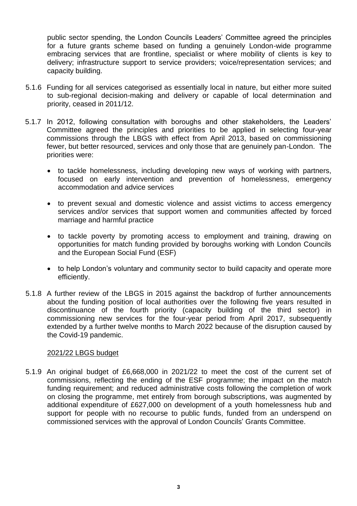public sector spending, the London Councils Leaders' Committee agreed the principles for a future grants scheme based on funding a genuinely London-wide programme embracing services that are frontline, specialist or where mobility of clients is key to delivery; infrastructure support to service providers; voice/representation services; and capacity building.

- 5.1.6 Funding for all services categorised as essentially local in nature, but either more suited to sub-regional decision-making and delivery or capable of local determination and priority, ceased in 2011/12.
- 5.1.7 In 2012, following consultation with boroughs and other stakeholders, the Leaders' Committee agreed the principles and priorities to be applied in selecting four-year commissions through the LBGS with effect from April 2013, based on commissioning fewer, but better resourced, services and only those that are genuinely pan-London. The priorities were:
	- to tackle homelessness, including developing new ways of working with partners, focused on early intervention and prevention of homelessness, emergency accommodation and advice services
	- to prevent sexual and domestic violence and assist victims to access emergency services and/or services that support women and communities affected by forced marriage and harmful practice
	- to tackle poverty by promoting access to employment and training, drawing on opportunities for match funding provided by boroughs working with London Councils and the European Social Fund (ESF)
	- to help London's voluntary and community sector to build capacity and operate more efficiently.
- 5.1.8 A further review of the LBGS in 2015 against the backdrop of further announcements about the funding position of local authorities over the following five years resulted in discontinuance of the fourth priority (capacity building of the third sector) in commissioning new services for the four-year period from April 2017, subsequently extended by a further twelve months to March 2022 because of the disruption caused by the Covid-19 pandemic.

#### 2021/22 LBGS budget

5.1.9 An original budget of £6,668,000 in 2021/22 to meet the cost of the current set of commissions, reflecting the ending of the ESF programme; the impact on the match funding requirement; and reduced administrative costs following the completion of work on closing the programme, met entirely from borough subscriptions, was augmented by additional expenditure of £627,000 on development of a youth homelessness hub and support for people with no recourse to public funds, funded from an underspend on commissioned services with the approval of London Councils' Grants Committee.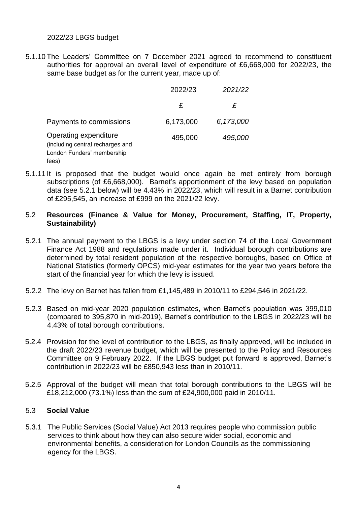#### 2022/23 LBGS budget

5.1.10 The Leaders' Committee on 7 December 2021 agreed to recommend to constituent authorities for approval an overall level of expenditure of £6,668,000 for 2022/23, the same base budget as for the current year, made up of:

|                                                                                                  | 2022/23   | 2021/22   |
|--------------------------------------------------------------------------------------------------|-----------|-----------|
|                                                                                                  | £         | £         |
| Payments to commissions                                                                          | 6,173,000 | 6,173,000 |
| Operating expenditure<br>(including central recharges and<br>London Funders' membership<br>fees) | 495,000   | 495,000   |

- 5.1.11 It is proposed that the budget would once again be met entirely from borough subscriptions (of £6,668,000). Barnet's apportionment of the levy based on population data (see 5.2.1 below) will be 4.43% in 2022/23, which will result in a Barnet contribution of £295,545, an increase of £999 on the 2021/22 levy.
- 5.2 **Resources (Finance & Value for Money, Procurement, Staffing, IT, Property, Sustainability)**
- 5.2.1 The annual payment to the LBGS is a levy under section 74 of the Local Government Finance Act 1988 and regulations made under it. Individual borough contributions are determined by total resident population of the respective boroughs, based on Office of National Statistics (formerly OPCS) mid-year estimates for the year two years before the start of the financial year for which the levy is issued.
- 5.2.2 The levy on Barnet has fallen from £1,145,489 in 2010/11 to £294,546 in 2021/22.
- 5.2.3 Based on mid-year 2020 population estimates, when Barnet's population was 399,010 (compared to 395,870 in mid-2019), Barnet's contribution to the LBGS in 2022/23 will be 4.43% of total borough contributions.
- 5.2.4 Provision for the level of contribution to the LBGS, as finally approved, will be included in the draft 2022/23 revenue budget, which will be presented to the Policy and Resources Committee on 9 February 2022. If the LBGS budget put forward is approved, Barnet's contribution in 2022/23 will be £850,943 less than in 2010/11.
- 5.2.5 Approval of the budget will mean that total borough contributions to the LBGS will be £18,212,000 (73.1%) less than the sum of £24,900,000 paid in 2010/11.

#### 5.3 **Social Value**

5.3.1 The Public Services (Social Value) Act 2013 requires people who commission public services to think about how they can also secure wider social, economic and environmental benefits, a consideration for London Councils as the commissioning agency for the LBGS.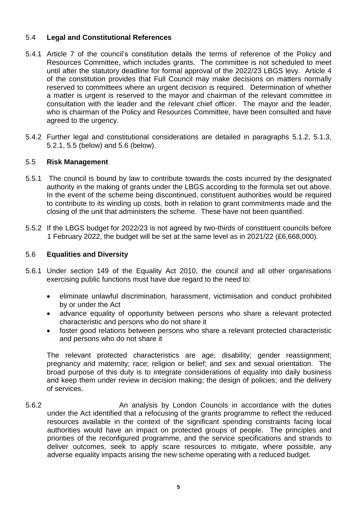# 5.4 **Legal and Constitutional References**

- 5.4.1 Article 7 of the council's constitution details the terms of reference of the Policy and Resources Committee, which includes grants. The committee is not scheduled to meet until after the statutory deadline for formal approval of the 2022/23 LBGS levy. Article 4 of the constitution provides that Full Council may make decisions on matters normally reserved to committees where an urgent decision is required. Determination of whether a matter is urgent is reserved to the mayor and chairman of the relevant committee in consultation with the leader and the relevant chief officer. The mayor and the leader, who is chairman of the Policy and Resources Committee, have been consulted and have agreed to the urgency.
- 5.4.2 Further legal and constitutional considerations are detailed in paragraphs 5.1.2, 5.1.3, 5.2.1, 5.5 (below) and 5.6 (below).

# 5.5 **Risk Management**

- 5.5.1 The council is bound by law to contribute towards the costs incurred by the designated authority in the making of grants under the LBGS according to the formula set out above. In the event of the scheme being discontinued, constituent authorities would be required to contribute to its winding up costs, both in relation to grant commitments made and the closing of the unit that administers the scheme. These have not been quantified.
- 5.5.2 If the LBGS budget for 2022/23 is not agreed by two-thirds of constituent councils before 1 February 2022, the budget will be set at the same level as in 2021/22 (£6,668,000).

### 5.6 **Equalities and Diversity**

- 5.6.1 Under section 149 of the Equality Act 2010, the council and all other organisations exercising public functions must have due regard to the need to:
	- eliminate unlawful discrimination, harassment, victimisation and conduct prohibited by or under the Act
	- advance equality of opportunity between persons who share a relevant protected characteristic and persons who do not share it
	- foster good relations between persons who share a relevant protected characteristic and persons who do not share it

The relevant protected characteristics are age; disability; gender reassignment; pregnancy and maternity; race; religion or belief; and sex and sexual orientation. The broad purpose of this duty is to integrate considerations of equality into daily business and keep them under review in decision making; the design of policies; and the delivery of services.

5.6.2 An analysis by London Councils in accordance with the duties under the Act identified that a refocusing of the grants programme to reflect the reduced resources available in the context of the significant spending constraints facing local authorities would have an impact on protected groups of people. The principles and priorities of the reconfigured programme, and the service specifications and strands to deliver outcomes, seek to apply scare resources to mitigate, where possible, any adverse equality impacts arising the new scheme operating with a reduced budget.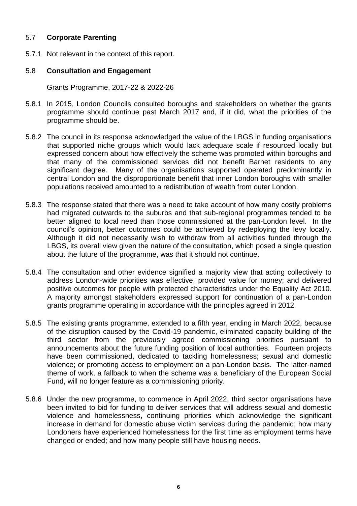# 5.7 **Corporate Parenting**

5.7.1 Not relevant in the context of this report.

# 5.8 **Consultation and Engagement**

#### Grants Programme, 2017-22 & 2022-26

- 5.8.1 In 2015, London Councils consulted boroughs and stakeholders on whether the grants programme should continue past March 2017 and, if it did, what the priorities of the programme should be.
- 5.8.2 The council in its response acknowledged the value of the LBGS in funding organisations that supported niche groups which would lack adequate scale if resourced locally but expressed concern about how effectively the scheme was promoted within boroughs and that many of the commissioned services did not benefit Barnet residents to any significant degree. Many of the organisations supported operated predominantly in central London and the disproportionate benefit that inner London boroughs with smaller populations received amounted to a redistribution of wealth from outer London.
- 5.8.3 The response stated that there was a need to take account of how many costly problems had migrated outwards to the suburbs and that sub-regional programmes tended to be better aligned to local need than those commissioned at the pan-London level. In the council's opinion, better outcomes could be achieved by redeploying the levy locally. Although it did not necessarily wish to withdraw from all activities funded through the LBGS, its overall view given the nature of the consultation, which posed a single question about the future of the programme, was that it should not continue.
- 5.8.4 The consultation and other evidence signified a majority view that acting collectively to address London-wide priorities was effective; provided value for money; and delivered positive outcomes for people with protected characteristics under the Equality Act 2010. A majority amongst stakeholders expressed support for continuation of a pan-London grants programme operating in accordance with the principles agreed in 2012.
- 5.8.5 The existing grants programme, extended to a fifth year, ending in March 2022, because of the disruption caused by the Covid-19 pandemic, eliminated capacity building of the third sector from the previously agreed commissioning priorities pursuant to announcements about the future funding position of local authorities. Fourteen projects have been commissioned, dedicated to tackling homelessness; sexual and domestic violence; or promoting access to employment on a pan-London basis. The latter-named theme of work, a fallback to when the scheme was a beneficiary of the European Social Fund, will no longer feature as a commissioning priority.
- 5.8.6 Under the new programme, to commence in April 2022, third sector organisations have been invited to bid for funding to deliver services that will address sexual and domestic violence and homelessness, continuing priorities which acknowledge the significant increase in demand for domestic abuse victim services during the pandemic; how many Londoners have experienced homelessness for the first time as employment terms have changed or ended; and how many people still have housing needs.